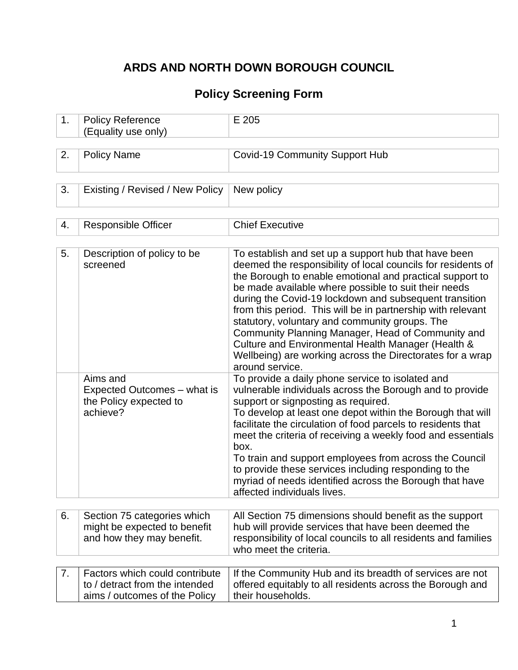# **ARDS AND NORTH DOWN BOROUGH COUNCIL**

# **Policy Screening Form**

| 1. | <b>Policy Reference</b><br>(Equality use only)                                                    | E 205                                                                                                                                                                                                                                                                                                                                                                                                                                                                                                                                                                                                          |
|----|---------------------------------------------------------------------------------------------------|----------------------------------------------------------------------------------------------------------------------------------------------------------------------------------------------------------------------------------------------------------------------------------------------------------------------------------------------------------------------------------------------------------------------------------------------------------------------------------------------------------------------------------------------------------------------------------------------------------------|
|    |                                                                                                   |                                                                                                                                                                                                                                                                                                                                                                                                                                                                                                                                                                                                                |
| 2. | <b>Policy Name</b>                                                                                | <b>Covid-19 Community Support Hub</b>                                                                                                                                                                                                                                                                                                                                                                                                                                                                                                                                                                          |
|    |                                                                                                   |                                                                                                                                                                                                                                                                                                                                                                                                                                                                                                                                                                                                                |
| 3. | Existing / Revised / New Policy                                                                   | New policy                                                                                                                                                                                                                                                                                                                                                                                                                                                                                                                                                                                                     |
|    |                                                                                                   |                                                                                                                                                                                                                                                                                                                                                                                                                                                                                                                                                                                                                |
| 4. | <b>Responsible Officer</b>                                                                        | <b>Chief Executive</b>                                                                                                                                                                                                                                                                                                                                                                                                                                                                                                                                                                                         |
|    |                                                                                                   |                                                                                                                                                                                                                                                                                                                                                                                                                                                                                                                                                                                                                |
| 5. | Description of policy to be<br>screened                                                           | To establish and set up a support hub that have been<br>deemed the responsibility of local councils for residents of<br>the Borough to enable emotional and practical support to<br>be made available where possible to suit their needs<br>during the Covid-19 lockdown and subsequent transition<br>from this period. This will be in partnership with relevant<br>statutory, voluntary and community groups. The<br>Community Planning Manager, Head of Community and<br>Culture and Environmental Health Manager (Health &<br>Wellbeing) are working across the Directorates for a wrap<br>around service. |
|    | Aims and<br>Expected Outcomes – what is<br>the Policy expected to<br>achieve?                     | To provide a daily phone service to isolated and<br>vulnerable individuals across the Borough and to provide<br>support or signposting as required.<br>To develop at least one depot within the Borough that will<br>facilitate the circulation of food parcels to residents that<br>meet the criteria of receiving a weekly food and essentials<br>box.<br>To train and support employees from across the Council<br>to provide these services including responding to the<br>myriad of needs identified across the Borough that have<br>affected individuals lives.                                          |
|    |                                                                                                   |                                                                                                                                                                                                                                                                                                                                                                                                                                                                                                                                                                                                                |
| 6. | Section 75 categories which<br>might be expected to benefit<br>and how they may benefit.          | All Section 75 dimensions should benefit as the support<br>hub will provide services that have been deemed the<br>responsibility of local councils to all residents and families<br>who meet the criteria.                                                                                                                                                                                                                                                                                                                                                                                                     |
|    |                                                                                                   |                                                                                                                                                                                                                                                                                                                                                                                                                                                                                                                                                                                                                |
| 7. | Factors which could contribute<br>to / detract from the intended<br>aims / outcomes of the Policy | If the Community Hub and its breadth of services are not<br>offered equitably to all residents across the Borough and<br>their households.                                                                                                                                                                                                                                                                                                                                                                                                                                                                     |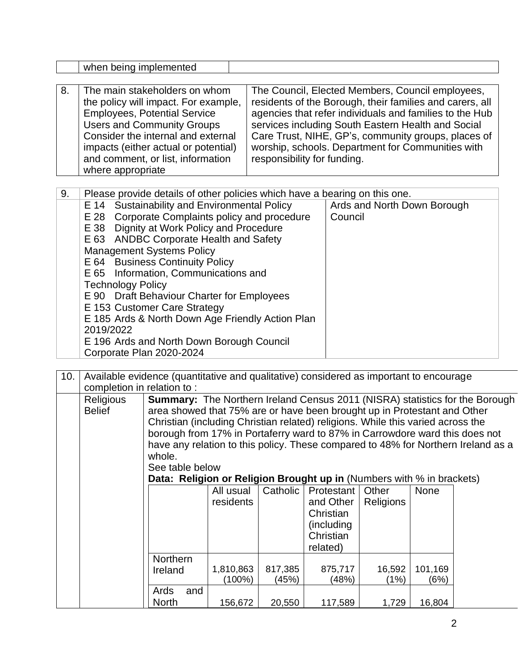|    | when being implemented                                                                                                                                                                                                                                                                                                                                                                                                                                                                                                                                         |                                                                                                                                                                                                                                                                                                                                                                          |                                        |  |
|----|----------------------------------------------------------------------------------------------------------------------------------------------------------------------------------------------------------------------------------------------------------------------------------------------------------------------------------------------------------------------------------------------------------------------------------------------------------------------------------------------------------------------------------------------------------------|--------------------------------------------------------------------------------------------------------------------------------------------------------------------------------------------------------------------------------------------------------------------------------------------------------------------------------------------------------------------------|----------------------------------------|--|
|    |                                                                                                                                                                                                                                                                                                                                                                                                                                                                                                                                                                |                                                                                                                                                                                                                                                                                                                                                                          |                                        |  |
| 8. | The main stakeholders on whom<br>the policy will impact. For example,<br><b>Employees, Potential Service</b><br><b>Users and Community Groups</b><br>Consider the internal and external<br>impacts (either actual or potential)<br>and comment, or list, information<br>where appropriate                                                                                                                                                                                                                                                                      | The Council, Elected Members, Council employees,<br>residents of the Borough, their families and carers, all<br>agencies that refer individuals and families to the Hub<br>services including South Eastern Health and Social<br>Care Trust, NIHE, GP's, community groups, places of<br>worship, schools. Department for Communities with<br>responsibility for funding. |                                        |  |
| 9. | Please provide details of other policies which have a bearing on this one.                                                                                                                                                                                                                                                                                                                                                                                                                                                                                     |                                                                                                                                                                                                                                                                                                                                                                          |                                        |  |
|    | Sustainability and Environmental Policy<br>E 14<br>Corporate Complaints policy and procedure<br>E 28<br>E 38 Dignity at Work Policy and Procedure<br>E 63 ANDBC Corporate Health and Safety<br><b>Management Systems Policy</b><br>E 64 Business Continuity Policy<br>E 65 Information, Communications and<br><b>Technology Policy</b><br>E 90 Draft Behaviour Charter for Employees<br>E 153 Customer Care Strategy<br>E 185 Ards & North Down Age Friendly Action Plan<br>2019/2022<br>E 196 Ards and North Down Borough Council<br>Corporate Plan 2020-2024 |                                                                                                                                                                                                                                                                                                                                                                          | Ards and North Down Borough<br>Council |  |

| 10. | completion in relation to: |                                                                                                                                                                                                                                                                                                                                                  | Available evidence (quantitative and qualitative) considered as important to encourage |                  |                                                                                     |                    |                 |                                                                                                                                                                          |  |
|-----|----------------------------|--------------------------------------------------------------------------------------------------------------------------------------------------------------------------------------------------------------------------------------------------------------------------------------------------------------------------------------------------|----------------------------------------------------------------------------------------|------------------|-------------------------------------------------------------------------------------|--------------------|-----------------|--------------------------------------------------------------------------------------------------------------------------------------------------------------------------|--|
|     | Religious<br><b>Belief</b> | area showed that 75% are or have been brought up in Protestant and Other<br>Christian (including Christian related) religions. While this varied across the<br>borough from 17% in Portaferry ward to 87% in Carrowdore ward this does not<br>whole.<br>See table below<br>Data: Religion or Religion Brought up in (Numbers with % in brackets) | All usual<br>residents                                                                 | Catholic         | <b>Protestant</b><br>and Other<br>Christian<br>(including)<br>Christian<br>related) | Other<br>Religions | <b>None</b>     | <b>Summary:</b> The Northern Ireland Census 2011 (NISRA) statistics for the Borough<br>have any relation to this policy. These compared to 48% for Northern Ireland as a |  |
|     |                            | <b>Northern</b><br>Ireland                                                                                                                                                                                                                                                                                                                       | 1,810,863<br>(100%)                                                                    | 817,385<br>(45%) | 875,717<br>(48%)                                                                    | 16,592<br>(1%)     | 101,169<br>(6%) |                                                                                                                                                                          |  |
|     |                            | Ards<br>and<br><b>North</b>                                                                                                                                                                                                                                                                                                                      | 156,672                                                                                | 20,550           | 117,589                                                                             | 1,729              | 16,804          |                                                                                                                                                                          |  |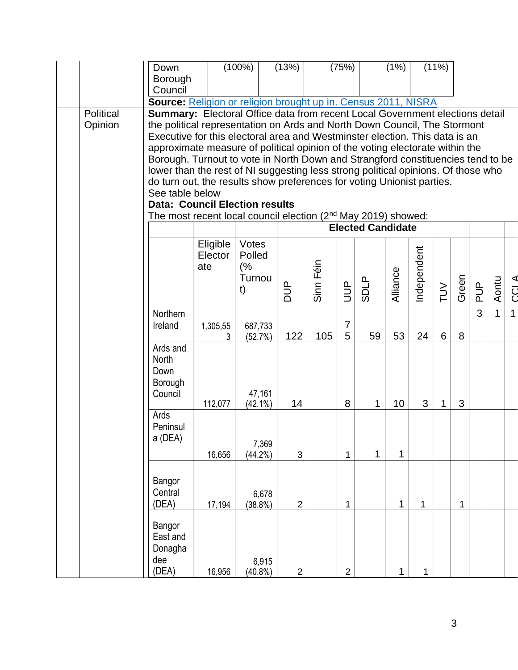|           | Down                                                                                                                                                        |          | $(100\%)$        | (13%)          |           | (75%)          |                          | (1% )        |             | $(11\%)$ |              |     |              |                |
|-----------|-------------------------------------------------------------------------------------------------------------------------------------------------------------|----------|------------------|----------------|-----------|----------------|--------------------------|--------------|-------------|----------|--------------|-----|--------------|----------------|
|           | Borough<br>Council                                                                                                                                          |          |                  |                |           |                |                          |              |             |          |              |     |              |                |
|           | <b>Source:</b> Religion or religion brought up in. Census 2011, NISRA                                                                                       |          |                  |                |           |                |                          |              |             |          |              |     |              |                |
| Political | <b>Summary:</b> Electoral Office data from recent Local Government elections detail                                                                         |          |                  |                |           |                |                          |              |             |          |              |     |              |                |
| Opinion   | the political representation on Ards and North Down Council, The Stormont                                                                                   |          |                  |                |           |                |                          |              |             |          |              |     |              |                |
|           | Executive for this electoral area and Westminster election. This data is an<br>approximate measure of political opinion of the voting electorate within the |          |                  |                |           |                |                          |              |             |          |              |     |              |                |
|           | Borough. Turnout to vote in North Down and Strangford constituencies tend to be                                                                             |          |                  |                |           |                |                          |              |             |          |              |     |              |                |
|           | lower than the rest of NI suggesting less strong political opinions. Of those who                                                                           |          |                  |                |           |                |                          |              |             |          |              |     |              |                |
|           | do turn out, the results show preferences for voting Unionist parties.                                                                                      |          |                  |                |           |                |                          |              |             |          |              |     |              |                |
|           | See table below                                                                                                                                             |          |                  |                |           |                |                          |              |             |          |              |     |              |                |
|           | <b>Data: Council Election results</b>                                                                                                                       |          |                  |                |           |                |                          |              |             |          |              |     |              |                |
|           | The most recent local council election $(2^{nd}$ May 2019) showed:                                                                                          |          |                  |                |           |                | <b>Elected Candidate</b> |              |             |          |              |     |              |                |
|           |                                                                                                                                                             | Eligible | Votes            |                |           |                |                          |              |             |          |              |     |              |                |
|           |                                                                                                                                                             | Elector  | Polled           |                |           |                |                          |              |             |          |              |     |              |                |
|           |                                                                                                                                                             | ate      | (%               |                |           |                |                          |              |             |          |              |     |              |                |
|           |                                                                                                                                                             |          | Turnou           |                |           |                |                          |              |             |          |              |     |              |                |
|           |                                                                                                                                                             |          | t)               | $\frac{1}{2}$  | Sinn Féin | <b>AUD</b>     | <b>SDLP</b>              | Alliance     | Independent | $\geq$   | Green        | agq | Aontu        | <b>CCLA</b>    |
|           | Northern                                                                                                                                                    |          |                  |                |           |                |                          |              |             |          |              | 3   | $\mathbf{1}$ | $\overline{1}$ |
|           | Ireland                                                                                                                                                     | 1,305,55 | 687,733          |                |           | $\overline{7}$ |                          |              |             |          |              |     |              |                |
|           |                                                                                                                                                             |          | (52.7%)          | 122            | 105       | 5              | 59                       | 53           | 24          | 6        | 8            |     |              |                |
|           | Ards and<br><b>North</b>                                                                                                                                    |          |                  |                |           |                |                          |              |             |          |              |     |              |                |
|           | Down                                                                                                                                                        |          |                  |                |           |                |                          |              |             |          |              |     |              |                |
|           | Borough                                                                                                                                                     |          |                  |                |           |                |                          |              |             |          |              |     |              |                |
|           | Council                                                                                                                                                     |          | 47,161           |                |           |                |                          |              |             |          |              |     |              |                |
|           |                                                                                                                                                             | 112,077  | $(42.1\%)$       | 14             |           | 8              | 1                        | 10           | 3           | 1        | 3            |     |              |                |
|           | Ards<br>Peninsul                                                                                                                                            |          |                  |                |           |                |                          |              |             |          |              |     |              |                |
|           | a (DEA)                                                                                                                                                     |          |                  |                |           |                |                          |              |             |          |              |     |              |                |
|           |                                                                                                                                                             | 16,656   | 7,369<br>(44.2%) | 3              |           | $\mathbf{1}$   | $\mathbf{1}$             | 1            |             |          |              |     |              |                |
|           |                                                                                                                                                             |          |                  |                |           |                |                          |              |             |          |              |     |              |                |
|           | Bangor                                                                                                                                                      |          |                  |                |           |                |                          |              |             |          |              |     |              |                |
|           | Central                                                                                                                                                     |          | 6,678            |                |           |                |                          |              |             |          |              |     |              |                |
|           | (DEA)                                                                                                                                                       | 17,194   | $(38.8\%)$       | $\overline{2}$ |           | 1              |                          | $\mathbf{1}$ | 1           |          | $\mathbf{1}$ |     |              |                |
|           | Bangor                                                                                                                                                      |          |                  |                |           |                |                          |              |             |          |              |     |              |                |
|           | East and                                                                                                                                                    |          |                  |                |           |                |                          |              |             |          |              |     |              |                |
|           | Donagha                                                                                                                                                     |          |                  |                |           |                |                          |              |             |          |              |     |              |                |
|           | dee                                                                                                                                                         |          | 6,915            |                |           |                |                          |              |             |          |              |     |              |                |
|           | (DEA)                                                                                                                                                       | 16,956   | $(40.8\%)$       | $\overline{2}$ |           | $\overline{2}$ |                          | 1            | 1           |          |              |     |              |                |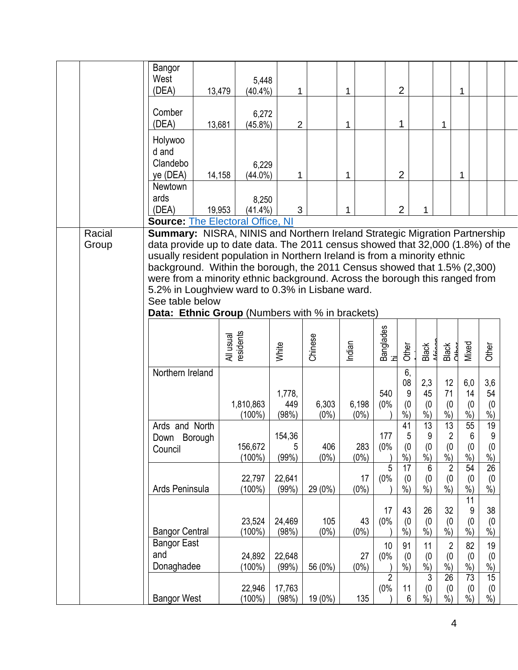|  |                 | Bangor<br>West        |        | 5,448                                                                                                                                                        |                |         |         |                 |                |                         |                         |                           |                         |  |
|--|-----------------|-----------------------|--------|--------------------------------------------------------------------------------------------------------------------------------------------------------------|----------------|---------|---------|-----------------|----------------|-------------------------|-------------------------|---------------------------|-------------------------|--|
|  |                 | (DEA)                 | 13,479 | $(40.4\%)$                                                                                                                                                   | 1              |         | 1       |                 | $\overline{2}$ |                         |                         | 1                         |                         |  |
|  |                 | Comber<br>(DEA)       | 13,681 | 6,272<br>$(45.8\%)$                                                                                                                                          | $\overline{2}$ |         | 1       |                 | 1              |                         | 1                       |                           |                         |  |
|  |                 | Holywoo               |        |                                                                                                                                                              |                |         |         |                 |                |                         |                         |                           |                         |  |
|  |                 | d and                 |        |                                                                                                                                                              |                |         |         |                 |                |                         |                         |                           |                         |  |
|  |                 | Clandebo              |        | 6,229                                                                                                                                                        |                |         |         |                 |                |                         |                         |                           |                         |  |
|  |                 | ye (DEA)              | 14,158 | $(44.0\%)$                                                                                                                                                   | 1              |         | 1       |                 | $\overline{2}$ |                         |                         | 1                         |                         |  |
|  |                 | Newtown               |        |                                                                                                                                                              |                |         |         |                 |                |                         |                         |                           |                         |  |
|  |                 | ards                  |        | 8,250                                                                                                                                                        |                |         |         |                 |                |                         |                         |                           |                         |  |
|  |                 | (DEA)                 | 19,953 | $(41.4\%)$                                                                                                                                                   | 3              |         | 1       |                 | $\overline{2}$ | 1                       |                         |                           |                         |  |
|  |                 |                       |        | <b>Source: The Electoral Office, NI</b>                                                                                                                      |                |         |         |                 |                |                         |                         |                           |                         |  |
|  | Racial<br>Group |                       |        | Summary: NISRA, NINIS and Northern Ireland Strategic Migration Partnership<br>data provide up to date data. The 2011 census showed that 32,000 (1.8%) of the |                |         |         |                 |                |                         |                         |                           |                         |  |
|  |                 |                       |        | usually resident population in Northern Ireland is from a minority ethnic                                                                                    |                |         |         |                 |                |                         |                         |                           |                         |  |
|  |                 |                       |        | background. Within the borough, the 2011 Census showed that 1.5% (2,300)                                                                                     |                |         |         |                 |                |                         |                         |                           |                         |  |
|  |                 |                       |        | were from a minority ethnic background. Across the borough this ranged from                                                                                  |                |         |         |                 |                |                         |                         |                           |                         |  |
|  |                 |                       |        | 5.2% in Loughview ward to 0.3% in Lisbane ward.                                                                                                              |                |         |         |                 |                |                         |                         |                           |                         |  |
|  |                 | See table below       |        |                                                                                                                                                              |                |         |         |                 |                |                         |                         |                           |                         |  |
|  |                 |                       |        | <b>Data: Ethnic Group</b> (Numbers with % in brackets)                                                                                                       |                |         |         |                 |                |                         |                         |                           |                         |  |
|  |                 |                       |        |                                                                                                                                                              |                |         |         |                 |                |                         |                         |                           |                         |  |
|  |                 |                       |        |                                                                                                                                                              |                |         |         |                 |                |                         |                         |                           |                         |  |
|  |                 |                       |        | All usual<br>residents                                                                                                                                       | White          | Chinese | Indian  | Banglades<br>hi | Other          | <b>Black</b>            | Black<br>CHb.cr         | Mixed                     | Other                   |  |
|  |                 |                       |        |                                                                                                                                                              |                |         |         |                 |                |                         |                         |                           |                         |  |
|  |                 | Northern Ireland      |        |                                                                                                                                                              |                |         |         |                 | 6,<br>08       | 2,3                     | 12                      | 6,0                       | 3,6                     |  |
|  |                 |                       |        |                                                                                                                                                              | 1,778,         |         |         | 540             | 9              | 45                      | 71                      | 14                        | 54                      |  |
|  |                 |                       |        | 1,810,863                                                                                                                                                    | 449            | 6,303   | 6,198   | (0%             | (0)            | (0)                     | (0)                     | (0)                       | (0)                     |  |
|  |                 |                       |        | $(100\%)$                                                                                                                                                    | (98%)          | $(0\%)$ | $(0\%)$ |                 | $%$ )          | $\sqrt[6]{\cdot}$       | $\dot{\%}$              | $\dot{\%})$               | $%$ )                   |  |
|  |                 | Ards and North        |        |                                                                                                                                                              |                |         |         |                 | 41             | 13                      | $\overline{13}$         | $\overline{55}$           | 19                      |  |
|  |                 | Down Borough          |        | 156,672                                                                                                                                                      | 154,36<br>5    | 406     | 283     | 177<br>(0%      | 5<br>(0)       | $\boldsymbol{9}$<br>(0) | $\sqrt{2}$<br>(0)       | 6<br>(0)                  | $\boldsymbol{9}$<br>(0) |  |
|  |                 | Council               |        | $(100\%)$                                                                                                                                                    | (99%)          | $(0\%)$ | $(0\%)$ |                 | $%$ )          | $%$ )                   | $\frac{9}{6}$           | $%$ )                     | $%$ )                   |  |
|  |                 |                       |        |                                                                                                                                                              |                |         |         | 5               | 17             | 6                       | $\overline{\mathbf{c}}$ | 54                        | 26                      |  |
|  |                 |                       |        | 22,797                                                                                                                                                       | 22,641         |         | 17      | (0%             | (0)            | (0)                     | (0)                     | (0)                       | (0)                     |  |
|  |                 | Ards Peninsula        |        | $(100\%)$                                                                                                                                                    | (99%)          | 29 (0%) | $(0\%)$ |                 | $\frac{9}{6}$  | $\dot{\%})$             | $\frac{9}{6}$           | $\overline{\frac{9}{6}})$ | $\frac{6}{6}$           |  |
|  |                 |                       |        |                                                                                                                                                              |                |         |         |                 |                |                         |                         | 11                        |                         |  |
|  |                 |                       |        | 23,524                                                                                                                                                       | 24,469         | 105     | 43      | 17<br>(0%       | 43<br>(0)      | 26<br>(0)               | 32<br>(0)               | 9<br>(0)                  | 38<br>(0)               |  |
|  |                 | <b>Bangor Central</b> |        | $(100\%)$                                                                                                                                                    | (98%)          | $(0\%)$ | $(0\%)$ |                 | %              | $%$ )                   | $%$ )                   | $%$ )                     | $%$ )                   |  |
|  |                 | <b>Bangor East</b>    |        |                                                                                                                                                              |                |         |         | 10              | 91             | 11                      | $\overline{2}$          | 82                        | 19                      |  |
|  |                 | and                   |        | 24,892                                                                                                                                                       | 22,648         |         | 27      | (0%             | (0)            | (0)                     | (0)                     | (0)                       | (0)                     |  |
|  |                 | Donaghadee            |        | (100%)                                                                                                                                                       | (99%)          | 56 (0%) | $(0\%)$ |                 | $%$ )          | $\sqrt[6]{\cdot}$       | $\frac{9}{6}$           | %                         | %                       |  |
|  |                 |                       |        |                                                                                                                                                              |                |         |         | $\overline{2}$  |                | 3                       | $\overline{26}$         | $\overline{73}$           | 15                      |  |
|  |                 |                       |        | 22,946                                                                                                                                                       | 17,763         |         |         | (0%             | 11             | (0)                     | (0)                     | (0)                       | (0)                     |  |
|  |                 | <b>Bangor West</b>    |        | $(100\%)$                                                                                                                                                    | (98%)          | 19 (0%) | 135     |                 | 6              | $\frac{9}{6}$           | $\frac{9}{6}$           | $\frac{9}{6}$             | $\dot{\%})$             |  |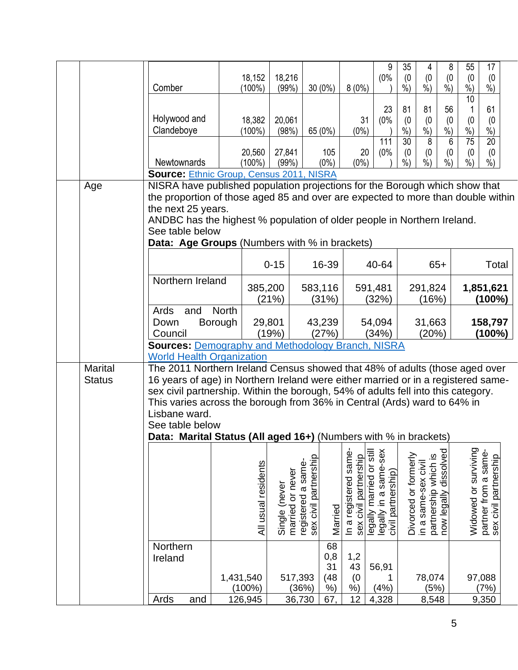|                                 | Comber                                                                                                                                                                                                                                                                                                                                                                                                                                    | 18,152<br>$(100\%)$     | 18,216<br>(99%)                   | $30(0\%)$                                   |                                 | $8(0\%)$                                          | 9<br>(0%                                    | 35<br>(0)<br>$%$ )       | 4<br>(0)<br>$\frac{9}{6}$                   | 8<br>(0)<br>$\frac{9}{6}$ | 55<br>(0)<br>$%$ )       | 17<br>(0)<br>$%$ )                            |  |
|---------------------------------|-------------------------------------------------------------------------------------------------------------------------------------------------------------------------------------------------------------------------------------------------------------------------------------------------------------------------------------------------------------------------------------------------------------------------------------------|-------------------------|-----------------------------------|---------------------------------------------|---------------------------------|---------------------------------------------------|---------------------------------------------|--------------------------|---------------------------------------------|---------------------------|--------------------------|-----------------------------------------------|--|
|                                 | Holywood and                                                                                                                                                                                                                                                                                                                                                                                                                              | 18,382                  | 20,061                            |                                             |                                 | 31                                                | 23<br>(0%                                   | 81<br>(0)                | 81<br>(0)                                   | 56<br>(0)                 | 10<br>(0)                | 61<br>(0)                                     |  |
|                                 | Clandeboye                                                                                                                                                                                                                                                                                                                                                                                                                                | $(100\%)$               | (98%)                             | 65 (0%)                                     |                                 | $(0\%)$                                           | 111                                         | $%$ )<br>$\overline{30}$ | %)<br>$\overline{8}$                        | $%$ )<br>6                | $%$ )<br>$\overline{75}$ | $\%$<br>$\overline{20}$                       |  |
|                                 | Newtownards                                                                                                                                                                                                                                                                                                                                                                                                                               | 20,560<br>$(100\%)$     | 27,841<br>(99%)                   | 105<br>$(0\%)$                              |                                 | 20<br>$(0\%)$                                     | (0%                                         | (0)<br>$%$ )             | (0)<br>$%$ )                                | (0)<br>$%$ )              | (0)<br>$\frac{9}{0}$     | (0)<br>$%$ )                                  |  |
| Age                             | Source: Ethnic Group, Census 2011, NISRA<br>NISRA have published population projections for the Borough which show that<br>the proportion of those aged 85 and over are expected to more than double within                                                                                                                                                                                                                               |                         |                                   |                                             |                                 |                                                   |                                             |                          |                                             |                           |                          |                                               |  |
|                                 | the next 25 years.<br>ANDBC has the highest % population of older people in Northern Ireland.<br>See table below                                                                                                                                                                                                                                                                                                                          |                         |                                   |                                             |                                 |                                                   |                                             |                          |                                             |                           |                          |                                               |  |
|                                 | Data: Age Groups (Numbers with % in brackets)                                                                                                                                                                                                                                                                                                                                                                                             |                         |                                   |                                             |                                 |                                                   |                                             |                          |                                             |                           |                          |                                               |  |
|                                 |                                                                                                                                                                                                                                                                                                                                                                                                                                           |                         | $0 - 15$                          | 16-39                                       |                                 |                                                   | 40-64                                       |                          |                                             | $65+$                     |                          | Total                                         |  |
|                                 | Northern Ireland                                                                                                                                                                                                                                                                                                                                                                                                                          | 385,200                 | (21%)                             | 583,116<br>(31%)                            |                                 |                                                   | 591,481<br>(32%)                            |                          | 291,824<br>(16%)                            |                           |                          | 1,851,621<br>(100%)                           |  |
|                                 | Ards<br>and<br>Down<br>Council                                                                                                                                                                                                                                                                                                                                                                                                            | <b>North</b><br>Borough | 29,801<br>(19%)                   | 43,239<br>(27%)                             |                                 |                                                   | 54,094<br>(34%)                             |                          | 31,663<br>(20%)                             |                           |                          | 158,797<br>(100%)                             |  |
|                                 | <b>Sources: Demography and Methodology Branch, NISRA</b><br><b>World Health Organization</b>                                                                                                                                                                                                                                                                                                                                              |                         |                                   |                                             |                                 |                                                   |                                             |                          |                                             |                           |                          |                                               |  |
| <b>Marital</b><br><b>Status</b> | The 2011 Northern Ireland Census showed that 48% of adults (those aged over<br>16 years of age) in Northern Ireland were either married or in a registered same-<br>sex civil partnership. Within the borough, 54% of adults fell into this category.<br>This varies across the borough from 36% in Central (Ards) ward to 64% in<br>Lisbane ward.<br>See table below<br>Data: Marital Status (All aged 16+) (Numbers with % in brackets) |                         |                                   |                                             |                                 |                                                   |                                             |                          |                                             |                           |                          |                                               |  |
|                                 |                                                                                                                                                                                                                                                                                                                                                                                                                                           |                         |                                   |                                             |                                 |                                                   |                                             |                          |                                             |                           |                          |                                               |  |
|                                 |                                                                                                                                                                                                                                                                                                                                                                                                                                           | All usual residents     | married or never<br>Single (never | sex civil partnership<br>registered a same- | In a registered same<br>Married | legally married or still<br>sex civil partnership | legally in a same-sex<br>civil partnership) | Divorced or formerly     | partnership which is<br>in a same-sex civil | dissolved<br>now legally  | Widowed or surviving     | partner from a same-<br>sex civil partnership |  |
|                                 |                                                                                                                                                                                                                                                                                                                                                                                                                                           |                         |                                   | 68                                          |                                 |                                                   |                                             |                          |                                             |                           |                          |                                               |  |
|                                 | Northern<br>Ireland                                                                                                                                                                                                                                                                                                                                                                                                                       | 1,431,540               | 517,393                           | 0,8<br>31<br>(48)                           | 1,2<br>43                       | (0)                                               | 56,91                                       |                          | 78,074                                      |                           |                          | 97,088                                        |  |
|                                 |                                                                                                                                                                                                                                                                                                                                                                                                                                           | $(100\%)$               |                                   | (36%)<br>%                                  | $\dot{\%}$                      |                                                   | (4%)                                        |                          | (5%)                                        |                           |                          | (7%)                                          |  |
|                                 | Ards<br>and                                                                                                                                                                                                                                                                                                                                                                                                                               | 126,945                 | 36,730                            | 67                                          | 12                              |                                                   | 4,328                                       |                          | 8,548                                       |                           |                          | 9,350                                         |  |

5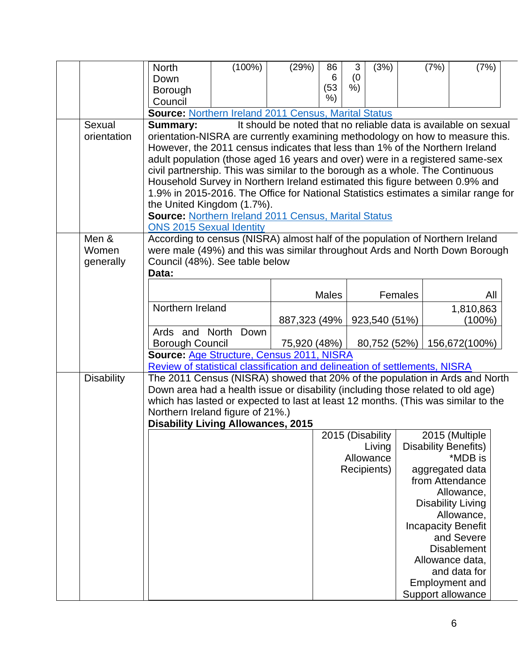|                   | <b>North</b>                                                                        | $(100\%)$ | (29%)                                                           | 86           | 3   | (3%)             |         | (7%) | (7%)                        |  |
|-------------------|-------------------------------------------------------------------------------------|-----------|-----------------------------------------------------------------|--------------|-----|------------------|---------|------|-----------------------------|--|
|                   | Down                                                                                |           |                                                                 | 6            | (0) |                  |         |      |                             |  |
|                   | Borough                                                                             |           |                                                                 | (53)         | %   |                  |         |      |                             |  |
|                   | Council                                                                             |           |                                                                 | %)           |     |                  |         |      |                             |  |
|                   | <b>Source: Northern Ireland 2011 Census, Marital Status</b>                         |           |                                                                 |              |     |                  |         |      |                             |  |
| Sexual            | <b>Summary:</b>                                                                     |           | It should be noted that no reliable data is available on sexual |              |     |                  |         |      |                             |  |
| orientation       | orientation-NISRA are currently examining methodology on how to measure this.       |           |                                                                 |              |     |                  |         |      |                             |  |
|                   | However, the 2011 census indicates that less than 1% of the Northern Ireland        |           |                                                                 |              |     |                  |         |      |                             |  |
|                   | adult population (those aged 16 years and over) were in a registered same-sex       |           |                                                                 |              |     |                  |         |      |                             |  |
|                   |                                                                                     |           |                                                                 |              |     |                  |         |      |                             |  |
|                   | civil partnership. This was similar to the borough as a whole. The Continuous       |           |                                                                 |              |     |                  |         |      |                             |  |
|                   | Household Survey in Northern Ireland estimated this figure between 0.9% and         |           |                                                                 |              |     |                  |         |      |                             |  |
|                   | 1.9% in 2015-2016. The Office for National Statistics estimates a similar range for |           |                                                                 |              |     |                  |         |      |                             |  |
|                   | the United Kingdom (1.7%).                                                          |           |                                                                 |              |     |                  |         |      |                             |  |
|                   | <b>Source: Northern Ireland 2011 Census, Marital Status</b>                         |           |                                                                 |              |     |                  |         |      |                             |  |
|                   | <b>ONS 2015 Sexual Identity</b>                                                     |           |                                                                 |              |     |                  |         |      |                             |  |
| Men &             | According to census (NISRA) almost half of the population of Northern Ireland       |           |                                                                 |              |     |                  |         |      |                             |  |
| Women             | were male (49%) and this was similar throughout Ards and North Down Borough         |           |                                                                 |              |     |                  |         |      |                             |  |
| generally         | Council (48%). See table below                                                      |           |                                                                 |              |     |                  |         |      |                             |  |
|                   | Data:                                                                               |           |                                                                 |              |     |                  |         |      |                             |  |
|                   |                                                                                     |           |                                                                 | <b>Males</b> |     |                  | Females |      |                             |  |
|                   |                                                                                     |           |                                                                 |              |     |                  |         |      | All                         |  |
|                   | Northern Ireland                                                                    |           |                                                                 |              |     |                  |         |      | 1,810,863                   |  |
|                   |                                                                                     |           | 887,323 (49%                                                    |              |     | 923,540 (51%)    |         |      | $(100\%)$                   |  |
|                   | Ards and North Down                                                                 |           |                                                                 |              |     |                  |         |      |                             |  |
|                   | <b>Borough Council</b>                                                              |           | 75,920 (48%)                                                    |              |     | 80,752 (52%)     |         |      | 156,672(100%)               |  |
|                   | Source: Age Structure, Census 2011, NISRA                                           |           |                                                                 |              |     |                  |         |      |                             |  |
|                   | Review of statistical classification and delineation of settlements, NISRA          |           |                                                                 |              |     |                  |         |      |                             |  |
| <b>Disability</b> | The 2011 Census (NISRA) showed that 20% of the population in Ards and North         |           |                                                                 |              |     |                  |         |      |                             |  |
|                   | Down area had a health issue or disability (including those related to old age)     |           |                                                                 |              |     |                  |         |      |                             |  |
|                   | which has lasted or expected to last at least 12 months. (This was similar to the   |           |                                                                 |              |     |                  |         |      |                             |  |
|                   | Northern Ireland figure of 21%.)                                                    |           |                                                                 |              |     |                  |         |      |                             |  |
|                   | <b>Disability Living Allowances, 2015</b>                                           |           |                                                                 |              |     |                  |         |      |                             |  |
|                   |                                                                                     |           |                                                                 |              |     | 2015 (Disability |         |      | 2015 (Multiple              |  |
|                   |                                                                                     |           |                                                                 |              |     | Living           |         |      | <b>Disability Benefits)</b> |  |
|                   |                                                                                     |           |                                                                 |              |     | Allowance        |         |      | *MDB is                     |  |
|                   |                                                                                     |           |                                                                 |              |     | Recipients)      |         |      | aggregated data             |  |
|                   |                                                                                     |           |                                                                 |              |     |                  |         |      | from Attendance             |  |
|                   |                                                                                     |           |                                                                 |              |     |                  |         |      | Allowance,                  |  |
|                   |                                                                                     |           |                                                                 |              |     |                  |         |      | <b>Disability Living</b>    |  |
|                   |                                                                                     |           |                                                                 |              |     |                  |         |      | Allowance,                  |  |
|                   |                                                                                     |           |                                                                 |              |     |                  |         |      | <b>Incapacity Benefit</b>   |  |
|                   |                                                                                     |           |                                                                 |              |     |                  |         |      | and Severe                  |  |
|                   |                                                                                     |           |                                                                 |              |     |                  |         |      | <b>Disablement</b>          |  |
|                   |                                                                                     |           |                                                                 |              |     |                  |         |      | Allowance data,             |  |
|                   |                                                                                     |           |                                                                 |              |     |                  |         |      | and data for                |  |
|                   |                                                                                     |           |                                                                 |              |     |                  |         |      | <b>Employment and</b>       |  |
|                   |                                                                                     |           |                                                                 |              |     |                  |         |      | Support allowance           |  |
|                   |                                                                                     |           |                                                                 |              |     |                  |         |      |                             |  |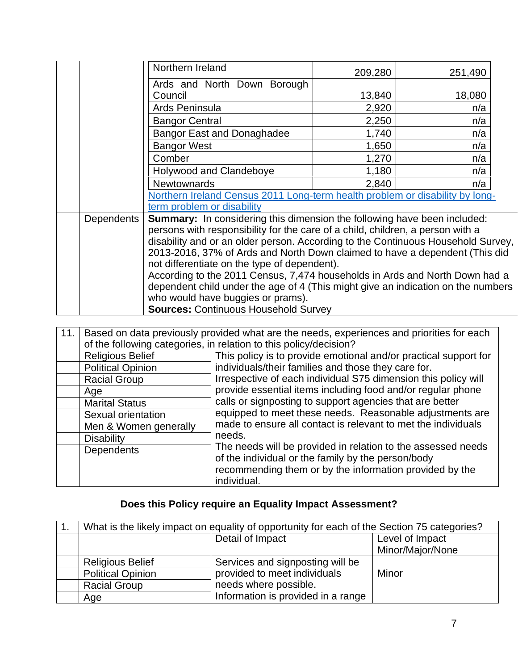|                   | Northern Ireland                                                                                                      | 209,280 | 251,490 |  |
|-------------------|-----------------------------------------------------------------------------------------------------------------------|---------|---------|--|
|                   | Ards and North Down Borough                                                                                           |         |         |  |
|                   | Council                                                                                                               | 13,840  | 18,080  |  |
|                   | Ards Peninsula                                                                                                        | 2,920   | n/a     |  |
|                   | <b>Bangor Central</b>                                                                                                 | 2,250   | n/a     |  |
|                   | <b>Bangor East and Donaghadee</b>                                                                                     | 1,740   | n/a     |  |
|                   | <b>Bangor West</b>                                                                                                    | 1,650   | n/a     |  |
|                   | Comber                                                                                                                | 1,270   | n/a     |  |
|                   | Holywood and Clandeboye                                                                                               | 1,180   | n/a     |  |
|                   | <b>Newtownards</b>                                                                                                    | 2,840   | n/a     |  |
|                   | Northern Ireland Census 2011 Long-term health problem or disability by long-                                          |         |         |  |
|                   | term problem or disability                                                                                            |         |         |  |
| <b>Dependents</b> | <b>Summary:</b> In considering this dimension the following have been included:                                       |         |         |  |
|                   | persons with responsibility for the care of a child, children, a person with a                                        |         |         |  |
|                   | disability and or an older person. According to the Continuous Household Survey,                                      |         |         |  |
|                   | 2013-2016, 37% of Ards and North Down claimed to have a dependent (This did                                           |         |         |  |
|                   | not differentiate on the type of dependent).                                                                          |         |         |  |
|                   | According to the 2011 Census, 7,474 households in Ards and North Down had a                                           |         |         |  |
|                   | dependent child under the age of 4 (This might give an indication on the numbers<br>who would have buggies or prams). |         |         |  |
|                   | <b>Sources: Continuous Household Survey</b>                                                                           |         |         |  |
|                   |                                                                                                                       |         |         |  |

| 11. |                          | Based on data previously provided what are the needs, experiences and priorities for each |
|-----|--------------------------|-------------------------------------------------------------------------------------------|
|     |                          | of the following categories, in relation to this policy/decision?                         |
|     | <b>Religious Belief</b>  | This policy is to provide emotional and/or practical support for                          |
|     | <b>Political Opinion</b> | individuals/their families and those they care for.                                       |
|     | <b>Racial Group</b>      | Irrespective of each individual S75 dimension this policy will                            |
|     | Age                      | provide essential items including food and/or regular phone                               |
|     | <b>Marital Status</b>    | calls or signposting to support agencies that are better                                  |
|     | Sexual orientation       | equipped to meet these needs. Reasonable adjustments are                                  |
|     | Men & Women generally    | made to ensure all contact is relevant to met the individuals                             |
|     | <b>Disability</b>        | needs.                                                                                    |
|     | <b>Dependents</b>        | The needs will be provided in relation to the assessed needs                              |
|     |                          | of the individual or the family by the person/body                                        |
|     |                          | recommending them or by the information provided by the                                   |
|     |                          | individual.                                                                               |

## **Does this Policy require an Equality Impact Assessment?**

| What is the likely impact on equality of opportunity for each of the Section 75 categories? |                                    |                  |  |  |  |  |
|---------------------------------------------------------------------------------------------|------------------------------------|------------------|--|--|--|--|
|                                                                                             | Detail of Impact                   | Level of Impact  |  |  |  |  |
|                                                                                             |                                    | Minor/Major/None |  |  |  |  |
| <b>Religious Belief</b>                                                                     | Services and signposting will be   |                  |  |  |  |  |
| <b>Political Opinion</b>                                                                    | provided to meet individuals       | Minor            |  |  |  |  |
| <b>Racial Group</b>                                                                         | needs where possible.              |                  |  |  |  |  |
| Age                                                                                         | Information is provided in a range |                  |  |  |  |  |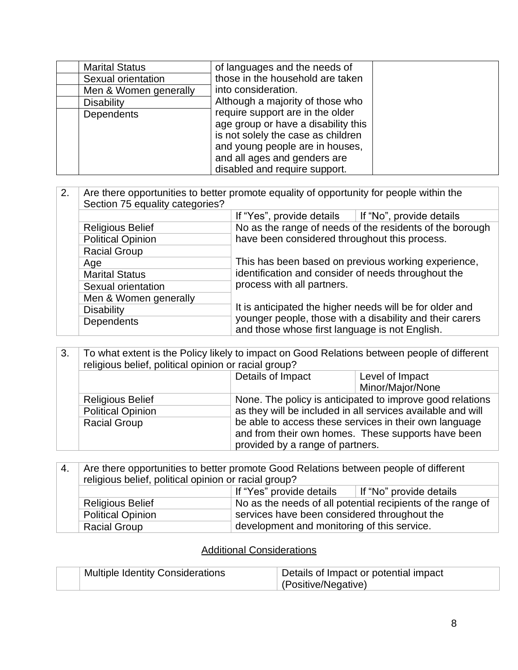| <b>Marital Status</b> | of languages and the needs of                                                                                                                                                                                     |  |
|-----------------------|-------------------------------------------------------------------------------------------------------------------------------------------------------------------------------------------------------------------|--|
| Sexual orientation    | those in the household are taken                                                                                                                                                                                  |  |
| Men & Women generally | into consideration.                                                                                                                                                                                               |  |
| <b>Disability</b>     | Although a majority of those who                                                                                                                                                                                  |  |
| <b>Dependents</b>     | require support are in the older<br>age group or have a disability this<br>is not solely the case as children<br>and young people are in houses,<br>and all ages and genders are<br>disabled and require support. |  |

2. Are there opportunities to better promote equality of opportunity for people within the Section 75 equality categories? If "Yes", provide details  $\parallel$  If "No", provide details Religious Belief No as the range of needs of the residents of the borough have been considered throughout this process. This has been based on previous working experience, identification and consider of needs throughout the process with all partners. It is anticipated the higher needs will be for older and younger people, those with a disability and their carers and those whose first language is not English. Political Opinion Racial Group Age Marital Status Sexual orientation Men & Women generally **Disability Dependents** 

3. To what extent is the Policy likely to impact on Good Relations between people of different religious belief, political opinion or racial group?

|                          | Details of Impact                | Level of Impact                                             |
|--------------------------|----------------------------------|-------------------------------------------------------------|
|                          |                                  | Minor/Major/None                                            |
| <b>Religious Belief</b>  |                                  | None. The policy is anticipated to improve good relations   |
| <b>Political Opinion</b> |                                  | as they will be included in all services available and will |
| <b>Racial Group</b>      |                                  | be able to access these services in their own language      |
|                          |                                  | and from their own homes. These supports have been          |
|                          | provided by a range of partners. |                                                             |

| 4. | Are there opportunities to better promote Good Relations between people of different<br>religious belief, political opinion or racial group? |                                                                                             |  |  |
|----|----------------------------------------------------------------------------------------------------------------------------------------------|---------------------------------------------------------------------------------------------|--|--|
|    |                                                                                                                                              |                                                                                             |  |  |
|    | If "Yes" provide details<br>∣ If "No" provide details                                                                                        |                                                                                             |  |  |
|    | <b>Religious Belief</b>                                                                                                                      | No as the needs of all potential recipients of the range of                                 |  |  |
|    | <b>Political Opinion</b>                                                                                                                     | services have been considered throughout the<br>development and monitoring of this service. |  |  |
|    | <b>Racial Group</b>                                                                                                                          |                                                                                             |  |  |

#### Additional Considerations

| <b>Multiple Identity Considerations</b> | Details of Impact or potential impact |
|-----------------------------------------|---------------------------------------|
|                                         | (Positive/Negative)                   |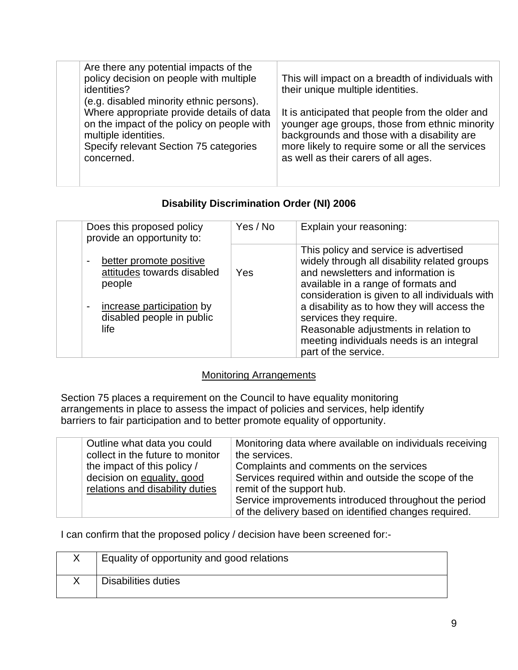| (e.g. disabled minority ethnic persons).<br>Where appropriate provide details of data<br>It is anticipated that people from the older and<br>on the impact of the policy on people with<br>multiple identities.<br>backgrounds and those with a disability are<br>more likely to require some or all the services<br>Specify relevant Section 75 categories<br>as well as their carers of all ages.<br>concerned. | Are there any potential impacts of the<br>policy decision on people with multiple<br>identities? | This will impact on a breadth of individuals with<br>their unique multiple identities.<br>younger age groups, those from ethnic minority |
|-------------------------------------------------------------------------------------------------------------------------------------------------------------------------------------------------------------------------------------------------------------------------------------------------------------------------------------------------------------------------------------------------------------------|--------------------------------------------------------------------------------------------------|------------------------------------------------------------------------------------------------------------------------------------------|
|-------------------------------------------------------------------------------------------------------------------------------------------------------------------------------------------------------------------------------------------------------------------------------------------------------------------------------------------------------------------------------------------------------------------|--------------------------------------------------------------------------------------------------|------------------------------------------------------------------------------------------------------------------------------------------|

### **Disability Discrimination Order (NI) 2006**

| Does this proposed policy<br>provide an opportunity to:                                                                                                                 | Yes / No | Explain your reasoning:                                                                                                                                                                                                                                                                                                                                                                                    |
|-------------------------------------------------------------------------------------------------------------------------------------------------------------------------|----------|------------------------------------------------------------------------------------------------------------------------------------------------------------------------------------------------------------------------------------------------------------------------------------------------------------------------------------------------------------------------------------------------------------|
| better promote positive<br>$\overline{\phantom{a}}$<br>attitudes towards disabled<br>people<br>increase participation by<br>$\sim$<br>disabled people in public<br>life | Yes      | This policy and service is advertised<br>widely through all disability related groups<br>and newsletters and information is<br>available in a range of formats and<br>consideration is given to all individuals with<br>a disability as to how they will access the<br>services they require.<br>Reasonable adjustments in relation to<br>meeting individuals needs is an integral<br>part of the service. |

### Monitoring Arrangements

Section 75 places a requirement on the Council to have equality monitoring arrangements in place to assess the impact of policies and services, help identify barriers to fair participation and to better promote equality of opportunity.

| Outline what data you could      | Monitoring data where available on individuals receiving |
|----------------------------------|----------------------------------------------------------|
| collect in the future to monitor | the services.                                            |
| the impact of this policy /      | Complaints and comments on the services                  |
| decision on equality, good       | Services required within and outside the scope of the    |
| relations and disability duties  | remit of the support hub.                                |
|                                  | Service improvements introduced throughout the period    |
|                                  | of the delivery based on identified changes required.    |

I can confirm that the proposed policy / decision have been screened for:-

| Equality of opportunity and good relations |
|--------------------------------------------|
| <b>Disabilities duties</b>                 |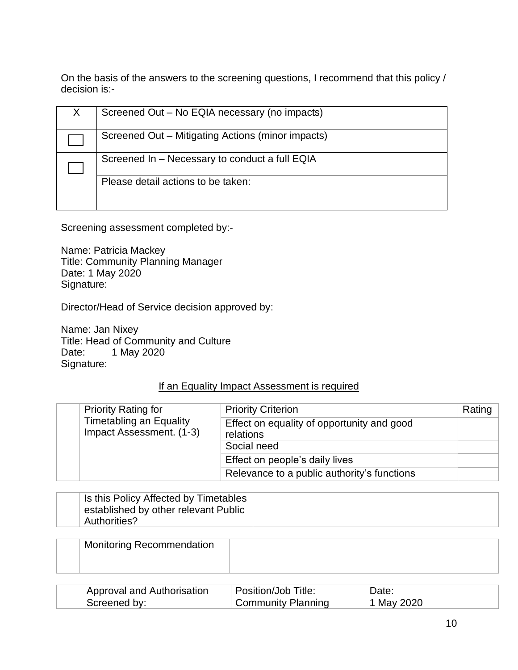On the basis of the answers to the screening questions, I recommend that this policy / decision is:-

| Screened Out - No EQIA necessary (no impacts)     |
|---------------------------------------------------|
| Screened Out – Mitigating Actions (minor impacts) |
| Screened In - Necessary to conduct a full EQIA    |
| Please detail actions to be taken:                |

Screening assessment completed by:-

Name: Patricia Mackey Title: Community Planning Manager Date: 1 May 2020 Signature:

Director/Head of Service decision approved by:

Name: Jan Nixey Title: Head of Community and Culture Date: 1 May 2020 Signature:

#### If an Equality Impact Assessment is required

| <b>Priority Rating for</b>                                 | <b>Priority Criterion</b>                               | Rating |
|------------------------------------------------------------|---------------------------------------------------------|--------|
| <b>Timetabling an Equality</b><br>Impact Assessment. (1-3) | Effect on equality of opportunity and good<br>relations |        |
|                                                            | Social need                                             |        |
|                                                            | Effect on people's daily lives                          |        |
|                                                            | Relevance to a public authority's functions             |        |

| I Is this Policy Affected by Timetables<br>established by other relevant Public<br>Authorities? |  |
|-------------------------------------------------------------------------------------------------|--|
|-------------------------------------------------------------------------------------------------|--|

| <b>Monitoring Recommendation</b> |  |
|----------------------------------|--|
|                                  |  |

| Approval and Authorisation | Position/Job Title: | Date:    |
|----------------------------|---------------------|----------|
| Screened by:               | Community Planning  | May 2020 |